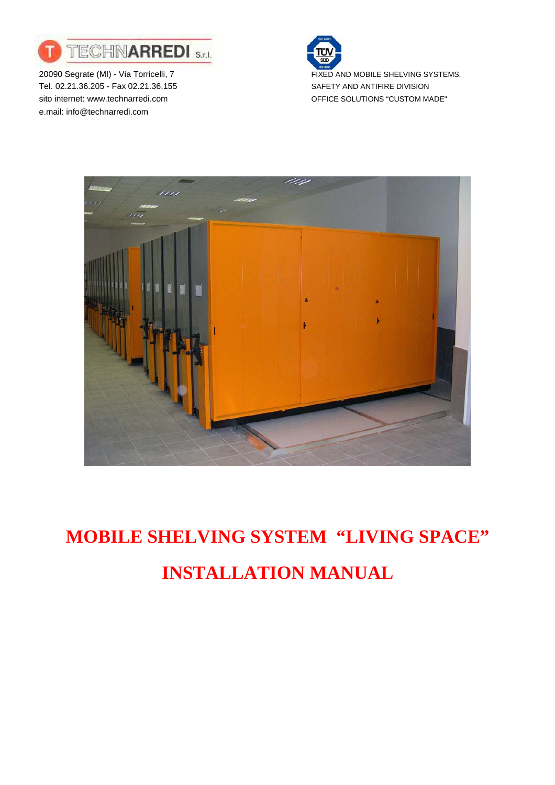

20090 Segrate (MI) - Via Torricelli, 7 FIXED AND MOBILE SHELVING SYSTEMS, Tel. 02.21.36.205 - Fax 02.21.36.155 SAFETY AND ANTIFIRE DIVISION sito internet: www.technarredi.com example and office SOLUTIONS "CUSTOM MADE" e.mail: info@technarredi.com





# **MOBILE SHELVING SYSTEM "LIVING SPACE" INSTALLATION MANUAL**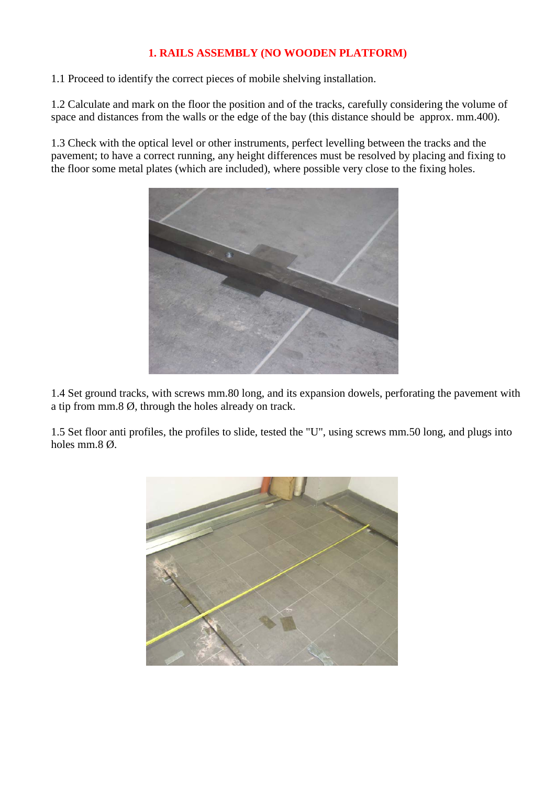## **1. RAILS ASSEMBLY (NO WOODEN PLATFORM)**

1.1 Proceed to identify the correct pieces of mobile shelving installation.

1.2 Calculate and mark on the floor the position and of the tracks, carefully considering the volume of space and distances from the walls or the edge of the bay (this distance should be approx. mm.400).

1.3 Check with the optical level or other instruments, perfect levelling between the tracks and the pavement; to have a correct running, any height differences must be resolved by placing and fixing to the floor some metal plates (which are included), where possible very close to the fixing holes.



1.4 Set ground tracks, with screws mm.80 long, and its expansion dowels, perforating the pavement with a tip from mm.8 Ø, through the holes already on track.

1.5 Set floor anti profiles, the profiles to slide, tested the "U", using screws mm.50 long, and plugs into holes mm.8 Ø.

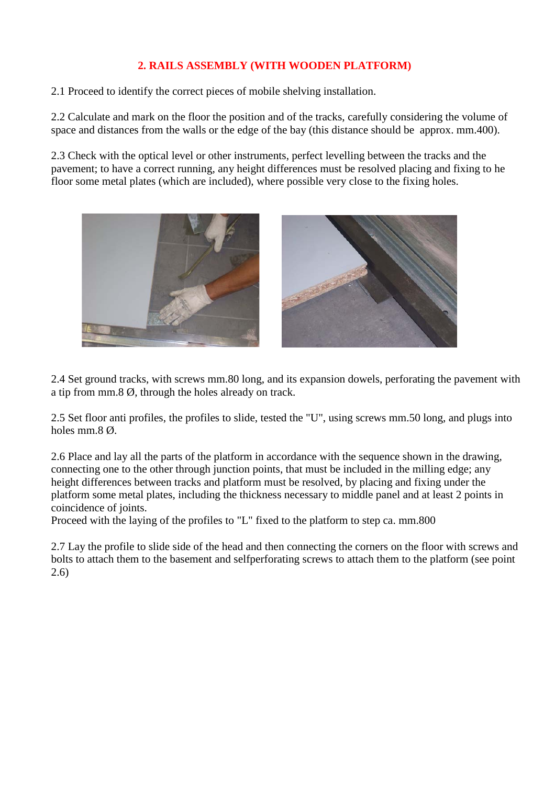## **2. RAILS ASSEMBLY (WITH WOODEN PLATFORM)**

2.1 Proceed to identify the correct pieces of mobile shelving installation.

2.2 Calculate and mark on the floor the position and of the tracks, carefully considering the volume of space and distances from the walls or the edge of the bay (this distance should be approx. mm.400).

2.3 Check with the optical level or other instruments, perfect levelling between the tracks and the pavement; to have a correct running, any height differences must be resolved placing and fixing to he floor some metal plates (which are included), where possible very close to the fixing holes.



2.4 Set ground tracks, with screws mm.80 long, and its expansion dowels, perforating the pavement with a tip from mm.8 Ø, through the holes already on track.

2.5 Set floor anti profiles, the profiles to slide, tested the "U", using screws mm.50 long, and plugs into holes mm.8 Ø.

2.6 Place and lay all the parts of the platform in accordance with the sequence shown in the drawing, connecting one to the other through junction points, that must be included in the milling edge; any height differences between tracks and platform must be resolved, by placing and fixing under the platform some metal plates, including the thickness necessary to middle panel and at least 2 points in coincidence of joints.

Proceed with the laying of the profiles to "L" fixed to the platform to step ca. mm.800

2.7 Lay the profile to slide side of the head and then connecting the corners on the floor with screws and bolts to attach them to the basement and selfperforating screws to attach them to the platform (see point 2.6)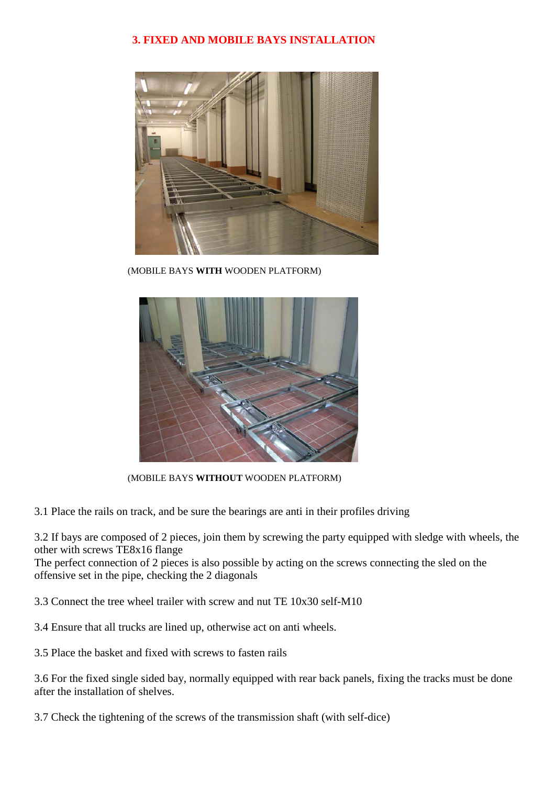# **3. FIXED AND MOBILE BAYS INSTALLATION**



(MOBILE BAYS **WITH** WOODEN PLATFORM)



(MOBILE BAYS **WITHOUT** WOODEN PLATFORM)

3.1 Place the rails on track, and be sure the bearings are anti in their profiles driving

3.2 If bays are composed of 2 pieces, join them by screwing the party equipped with sledge with wheels, the other with screws TE8x16 flange

The perfect connection of 2 pieces is also possible by acting on the screws connecting the sled on the offensive set in the pipe, checking the 2 diagonals

3.3 Connect the tree wheel trailer with screw and nut TE 10x30 self-M10

3.4 Ensure that all trucks are lined up, otherwise act on anti wheels.

3.5 Place the basket and fixed with screws to fasten rails

3.6 For the fixed single sided bay, normally equipped with rear back panels, fixing the tracks must be done after the installation of shelves.

3.7 Check the tightening of the screws of the transmission shaft (with self-dice)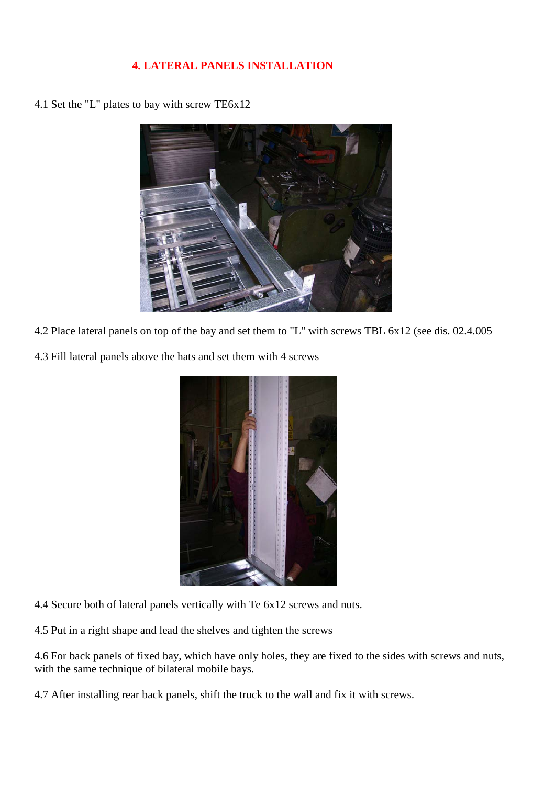## **4. LATERAL PANELS INSTALLATION**

4.1 Set the "L" plates to bay with screw TE6x12



- 4.2 Place lateral panels on top of the bay and set them to "L" with screws TBL 6x12 (see dis. 02.4.005
- 4.3 Fill lateral panels above the hats and set them with 4 screws



- 4.4 Secure both of lateral panels vertically with Te 6x12 screws and nuts.
- 4.5 Put in a right shape and lead the shelves and tighten the screws

4.6 For back panels of fixed bay, which have only holes, they are fixed to the sides with screws and nuts, with the same technique of bilateral mobile bays.

4.7 After installing rear back panels, shift the truck to the wall and fix it with screws.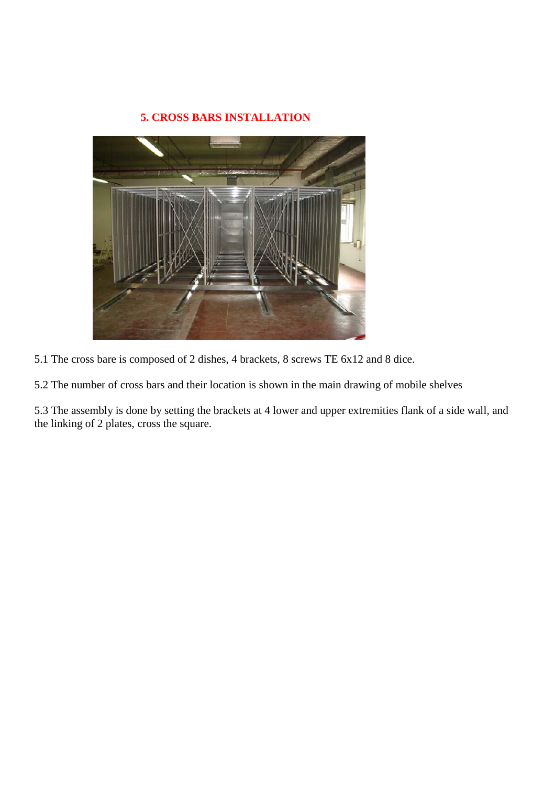## **5. CROSS BARS INSTALLATION**



5.1 The cross bare is composed of 2 dishes, 4 brackets, 8 screws TE 6x12 and 8 dice.

5.2 The number of cross bars and their location is shown in the main drawing of mobile shelves

5.3 The assembly is done by setting the brackets at 4 lower and upper extremities flank of a side wall, and the linking of 2 plates, cross the square.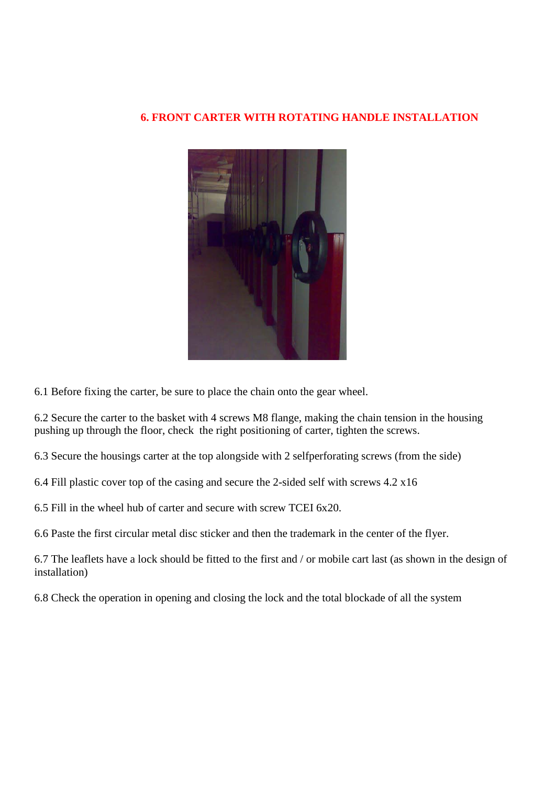#### **6. FRONT CARTER WITH ROTATING HANDLE INSTALLATION**



6.1 Before fixing the carter, be sure to place the chain onto the gear wheel.

6.2 Secure the carter to the basket with 4 screws M8 flange, making the chain tension in the housing pushing up through the floor, check the right positioning of carter, tighten the screws.

6.3 Secure the housings carter at the top alongside with 2 selfperforating screws (from the side)

6.4 Fill plastic cover top of the casing and secure the 2-sided self with screws 4.2 x16

6.5 Fill in the wheel hub of carter and secure with screw TCEI 6x20.

6.6 Paste the first circular metal disc sticker and then the trademark in the center of the flyer.

6.7 The leaflets have a lock should be fitted to the first and / or mobile cart last (as shown in the design of installation)

6.8 Check the operation in opening and closing the lock and the total blockade of all the system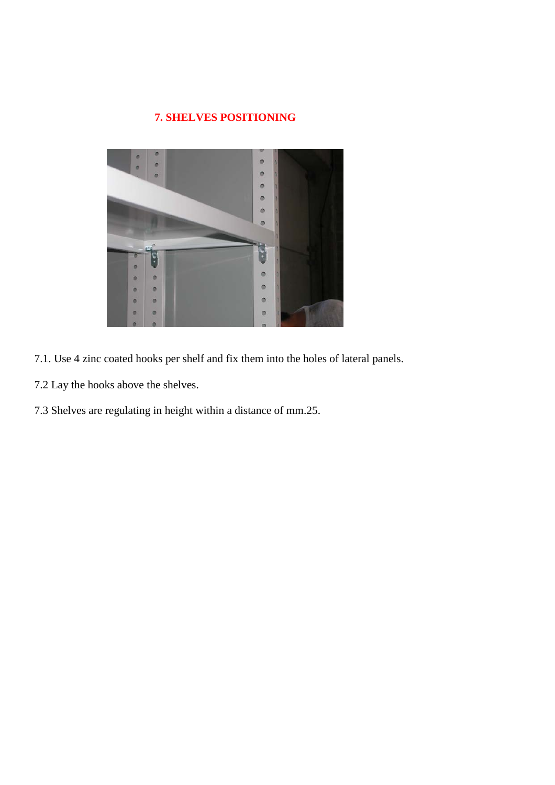# **7. SHELVES POSITIONING**



- 7.1. Use 4 zinc coated hooks per shelf and fix them into the holes of lateral panels.
- 7.2 Lay the hooks above the shelves.
- 7.3 Shelves are regulating in height within a distance of mm.25.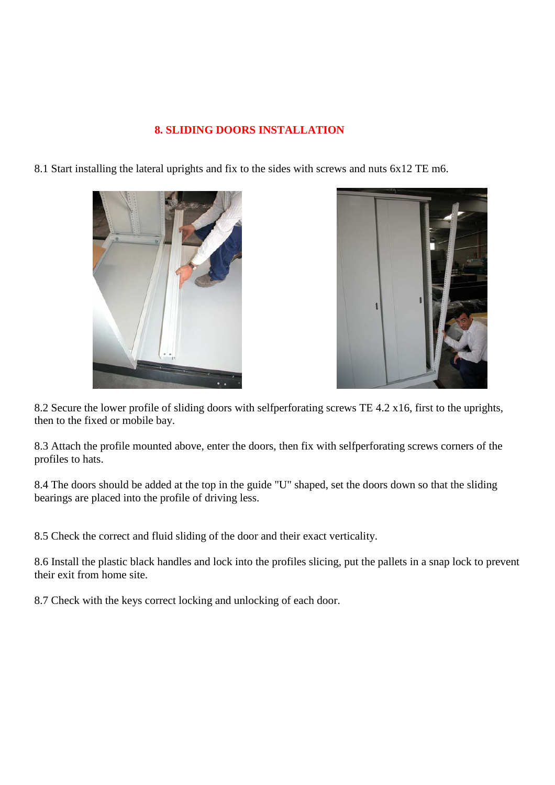#### **8. SLIDING DOORS INSTALLATION**

8.1 Start installing the lateral uprights and fix to the sides with screws and nuts 6x12 TE m6.





8.2 Secure the lower profile of sliding doors with selfperforating screws TE 4.2 x16, first to the uprights, then to the fixed or mobile bay.

8.3 Attach the profile mounted above, enter the doors, then fix with selfperforating screws corners of the profiles to hats.

8.4 The doors should be added at the top in the guide "U" shaped, set the doors down so that the sliding bearings are placed into the profile of driving less.

8.5 Check the correct and fluid sliding of the door and their exact verticality.

8.6 Install the plastic black handles and lock into the profiles slicing, put the pallets in a snap lock to prevent their exit from home site.

8.7 Check with the keys correct locking and unlocking of each door.